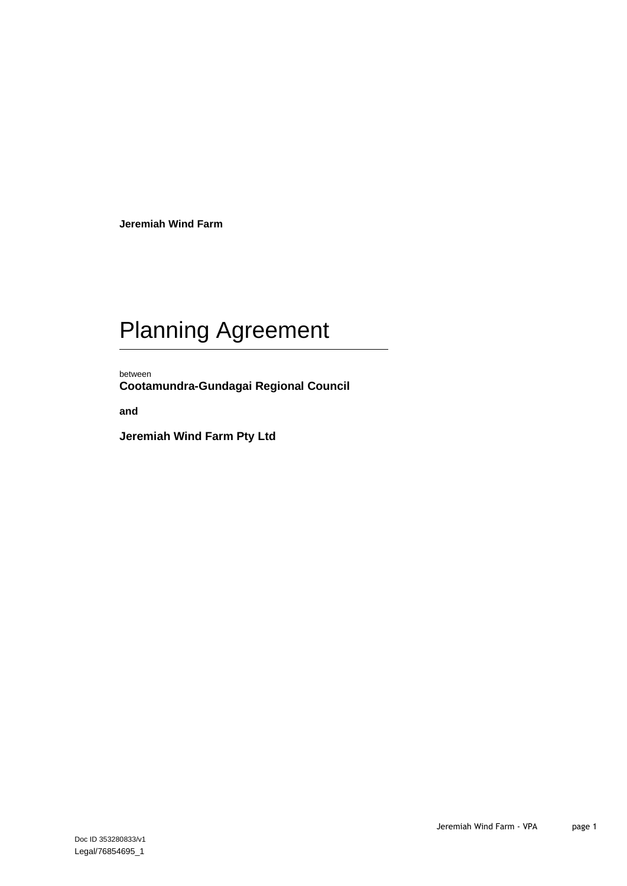**Jeremiah Wind Farm**

# Planning Agreement

between **Cootamundra-Gundagai Regional Council**

**and**

**Jeremiah Wind Farm Pty Ltd**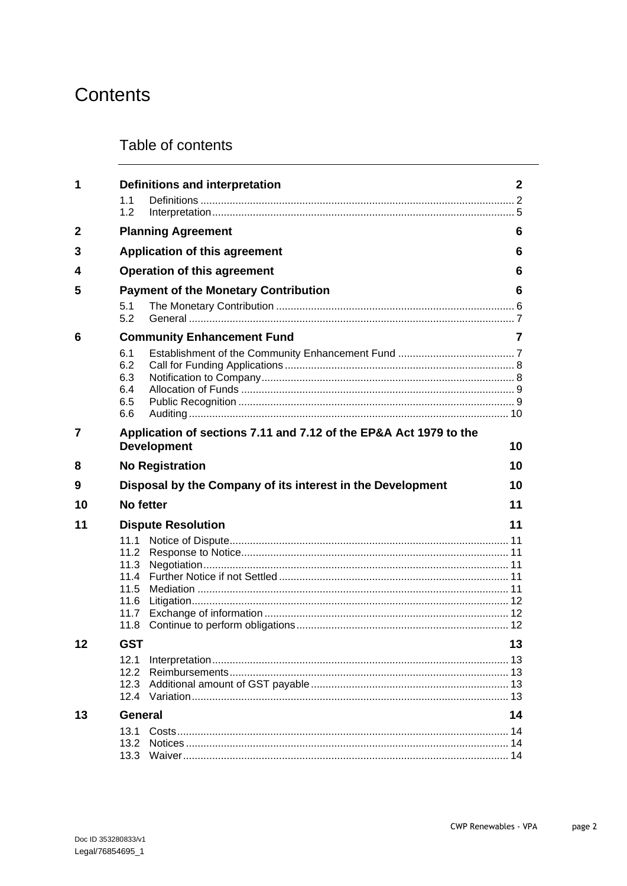## Contents

## Table of contents

| 1  | 1.1<br>1.2                                           | <b>Definitions and interpretation</b>                                                   | 2  |
|----|------------------------------------------------------|-----------------------------------------------------------------------------------------|----|
| 2  |                                                      | <b>Planning Agreement</b>                                                               | 6  |
| 3  |                                                      | <b>Application of this agreement</b>                                                    | 6  |
| 4  |                                                      | <b>Operation of this agreement</b>                                                      | 6  |
| 5  | <b>Payment of the Monetary Contribution</b>          |                                                                                         | 6  |
|    | 5.1<br>5.2                                           |                                                                                         |    |
| 6  |                                                      | <b>Community Enhancement Fund</b>                                                       | 7  |
|    | 6.1<br>6.2<br>6.3<br>6.4<br>6.5<br>6.6               |                                                                                         |    |
| 7  |                                                      | Application of sections 7.11 and 7.12 of the EP&A Act 1979 to the<br><b>Development</b> | 10 |
| 8  |                                                      | <b>No Registration</b>                                                                  | 10 |
| 9  |                                                      | Disposal by the Company of its interest in the Development                              | 10 |
| 10 | No fetter                                            |                                                                                         | 11 |
| 11 |                                                      | <b>Dispute Resolution</b>                                                               | 11 |
|    | 11.1<br>11.2<br>11.3<br>11.5<br>11.6<br>11.7<br>11.8 |                                                                                         |    |
|    | <b>GST</b>                                           |                                                                                         | 13 |
|    | 12.1<br>12.2<br>12.3<br>12.4                         |                                                                                         | 13 |
| 13 | <b>General</b>                                       |                                                                                         | 14 |
|    |                                                      |                                                                                         |    |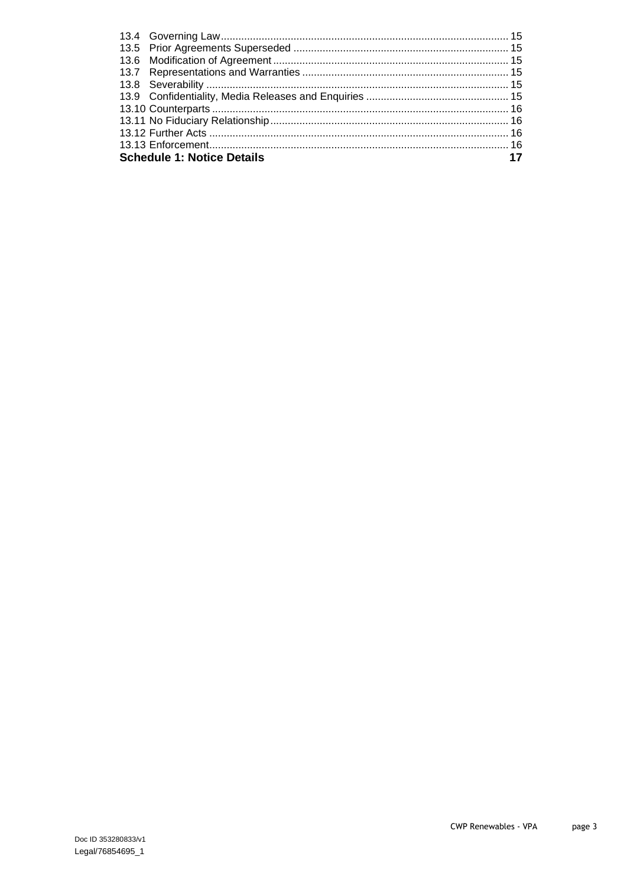| <b>Schedule 1: Notice Details</b> |  |
|-----------------------------------|--|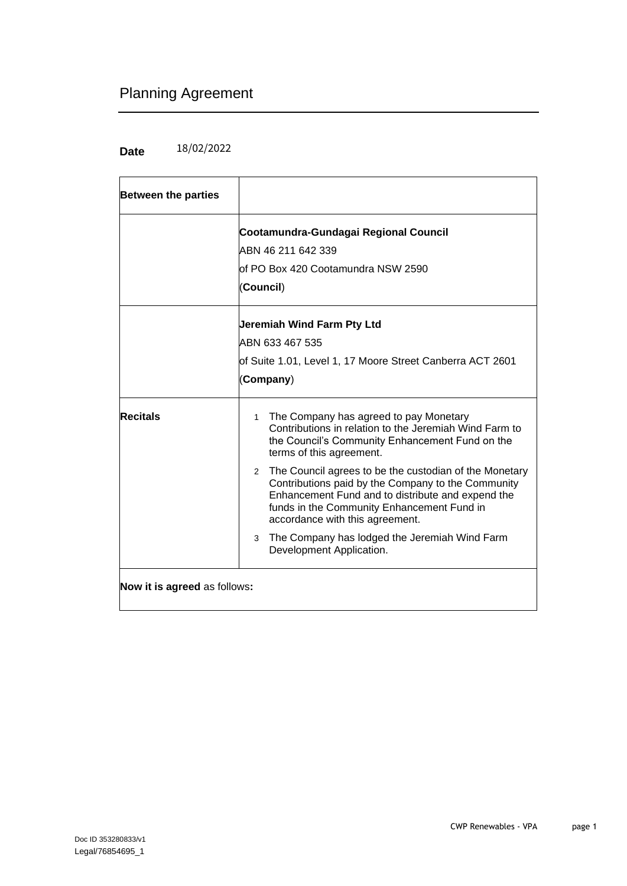## Planning Agreement

#### **Date**  18/02/2022

| <b>Between the parties</b>          |                                                                                                                                                                                                                                                      |  |
|-------------------------------------|------------------------------------------------------------------------------------------------------------------------------------------------------------------------------------------------------------------------------------------------------|--|
|                                     | Cootamundra-Gundagai Regional Council<br>IABN 46 211 642 339<br>lof PO Box 420 Cootamundra NSW 2590<br>(Council)                                                                                                                                     |  |
|                                     | Jeremiah Wind Farm Pty Ltd<br>ABN 633 467 535<br>of Suite 1.01, Level 1, 17 Moore Street Canberra ACT 2601<br>(Company)                                                                                                                              |  |
| <b>Recitals</b>                     | The Company has agreed to pay Monetary<br>$\mathbf{1}$<br>Contributions in relation to the Jeremiah Wind Farm to<br>the Council's Community Enhancement Fund on the<br>terms of this agreement.                                                      |  |
|                                     | 2 The Council agrees to be the custodian of the Monetary<br>Contributions paid by the Company to the Community<br>Enhancement Fund and to distribute and expend the<br>funds in the Community Enhancement Fund in<br>accordance with this agreement. |  |
|                                     | The Company has lodged the Jeremiah Wind Farm<br>3<br>Development Application.                                                                                                                                                                       |  |
| <b>Now it is agreed as follows:</b> |                                                                                                                                                                                                                                                      |  |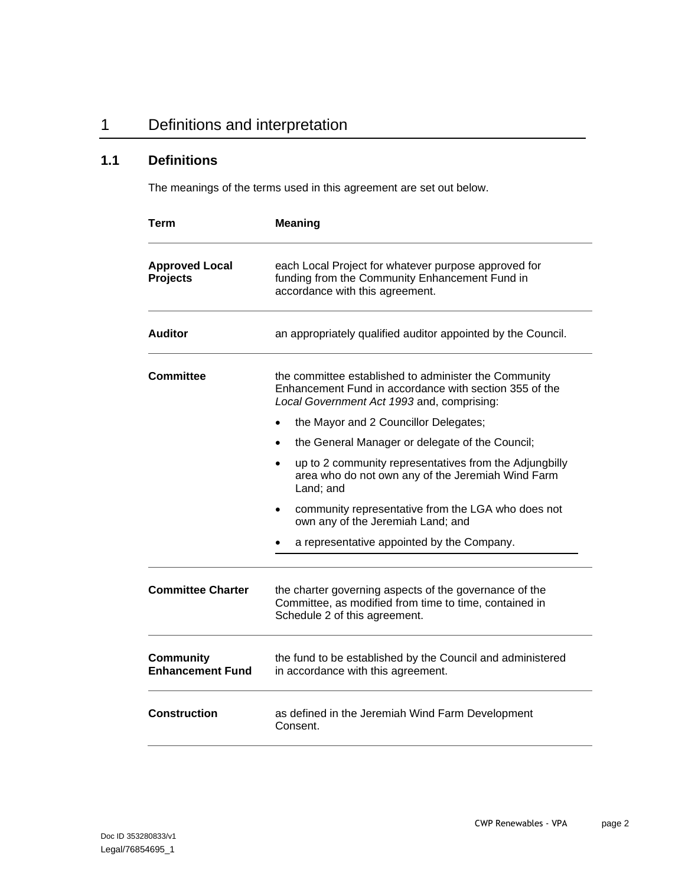## 1 Definitions and interpretation

## **1.1 Definitions**

The meanings of the terms used in this agreement are set out below.

| Term                                                                                                                                            | <b>Meaning</b><br>each Local Project for whatever purpose approved for<br>funding from the Community Enhancement Fund in<br>accordance with this agreement.   |  |
|-------------------------------------------------------------------------------------------------------------------------------------------------|---------------------------------------------------------------------------------------------------------------------------------------------------------------|--|
| <b>Approved Local</b><br><b>Projects</b>                                                                                                        |                                                                                                                                                               |  |
| <b>Auditor</b>                                                                                                                                  | an appropriately qualified auditor appointed by the Council.                                                                                                  |  |
| <b>Committee</b>                                                                                                                                | the committee established to administer the Community<br>Enhancement Fund in accordance with section 355 of the<br>Local Government Act 1993 and, comprising: |  |
|                                                                                                                                                 | the Mayor and 2 Councillor Delegates;                                                                                                                         |  |
|                                                                                                                                                 | the General Manager or delegate of the Council;<br>$\bullet$                                                                                                  |  |
|                                                                                                                                                 | up to 2 community representatives from the Adjungbilly<br>$\bullet$<br>area who do not own any of the Jeremiah Wind Farm<br>Land; and                         |  |
|                                                                                                                                                 | community representative from the LGA who does not<br>own any of the Jeremiah Land; and                                                                       |  |
|                                                                                                                                                 | a representative appointed by the Company.                                                                                                                    |  |
| <b>Committee Charter</b>                                                                                                                        | the charter governing aspects of the governance of the<br>Committee, as modified from time to time, contained in<br>Schedule 2 of this agreement.             |  |
| <b>Community</b><br>the fund to be established by the Council and administered<br><b>Enhancement Fund</b><br>in accordance with this agreement. |                                                                                                                                                               |  |
| <b>Construction</b>                                                                                                                             | as defined in the Jeremiah Wind Farm Development<br>Consent.                                                                                                  |  |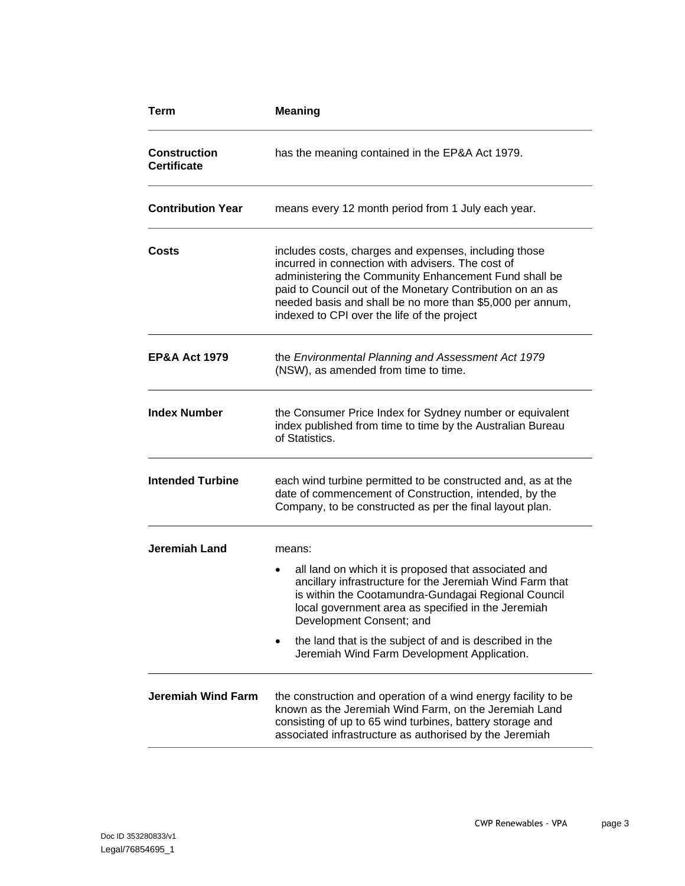| <b>Term</b>                               | <b>Meaning</b>                                                                                                                                                                                                                                                                                                                               |  |
|-------------------------------------------|----------------------------------------------------------------------------------------------------------------------------------------------------------------------------------------------------------------------------------------------------------------------------------------------------------------------------------------------|--|
| <b>Construction</b><br><b>Certificate</b> | has the meaning contained in the EP&A Act 1979.                                                                                                                                                                                                                                                                                              |  |
| <b>Contribution Year</b>                  | means every 12 month period from 1 July each year.                                                                                                                                                                                                                                                                                           |  |
| Costs                                     | includes costs, charges and expenses, including those<br>incurred in connection with advisers. The cost of<br>administering the Community Enhancement Fund shall be<br>paid to Council out of the Monetary Contribution on an as<br>needed basis and shall be no more than \$5,000 per annum,<br>indexed to CPI over the life of the project |  |
| <b>EP&amp;A Act 1979</b>                  | the Environmental Planning and Assessment Act 1979<br>(NSW), as amended from time to time.                                                                                                                                                                                                                                                   |  |
| <b>Index Number</b>                       | the Consumer Price Index for Sydney number or equivalent<br>index published from time to time by the Australian Bureau<br>of Statistics.                                                                                                                                                                                                     |  |
| <b>Intended Turbine</b>                   | each wind turbine permitted to be constructed and, as at the<br>date of commencement of Construction, intended, by the<br>Company, to be constructed as per the final layout plan.                                                                                                                                                           |  |
| <b>Jeremiah Land</b>                      | means:                                                                                                                                                                                                                                                                                                                                       |  |
|                                           | all land on which it is proposed that associated and<br>$\bullet$<br>ancillary infrastructure for the Jeremiah Wind Farm that<br>is within the Cootamundra-Gundagai Regional Council<br>local government area as specified in the Jeremiah<br>Development Consent; and                                                                       |  |
|                                           | the land that is the subject of and is described in the<br>٠<br>Jeremiah Wind Farm Development Application.                                                                                                                                                                                                                                  |  |
| <b>Jeremiah Wind Farm</b>                 | the construction and operation of a wind energy facility to be<br>known as the Jeremiah Wind Farm, on the Jeremiah Land<br>consisting of up to 65 wind turbines, battery storage and<br>associated infrastructure as authorised by the Jeremiah                                                                                              |  |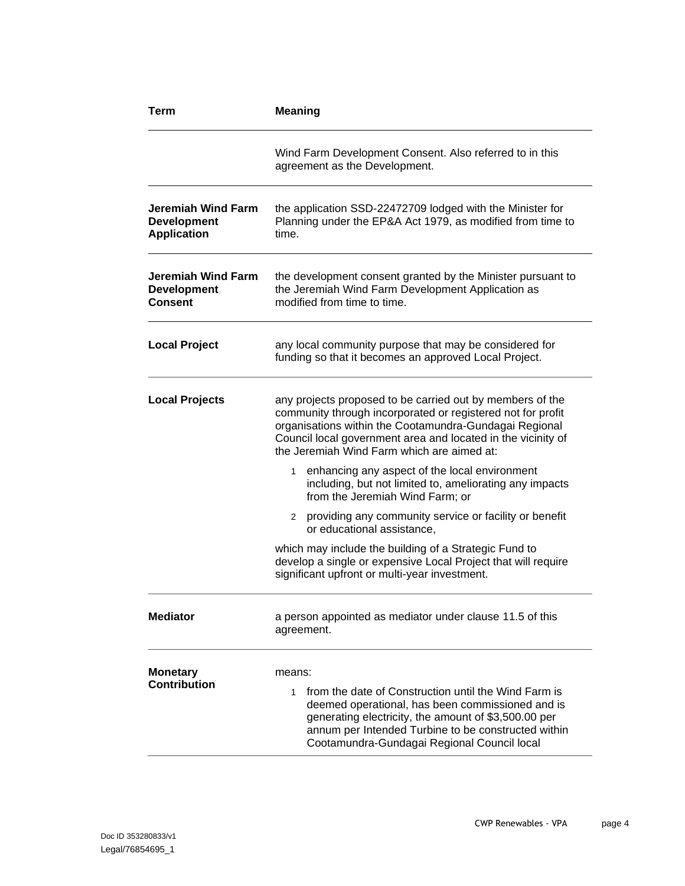| Term                                                           | <b>Meaning</b>                                                                                                                                                                                                                                                                                   |  |
|----------------------------------------------------------------|--------------------------------------------------------------------------------------------------------------------------------------------------------------------------------------------------------------------------------------------------------------------------------------------------|--|
|                                                                | Wind Farm Development Consent. Also referred to in this<br>agreement as the Development.                                                                                                                                                                                                         |  |
| Jeremiah Wind Farm<br><b>Development</b><br><b>Application</b> | the application SSD-22472709 lodged with the Minister for<br>Planning under the EP&A Act 1979, as modified from time to<br>time.                                                                                                                                                                 |  |
| Jeremiah Wind Farm<br><b>Development</b><br><b>Consent</b>     | the development consent granted by the Minister pursuant to<br>the Jeremiah Wind Farm Development Application as<br>modified from time to time.                                                                                                                                                  |  |
| <b>Local Project</b>                                           | any local community purpose that may be considered for<br>funding so that it becomes an approved Local Project.                                                                                                                                                                                  |  |
| <b>Local Projects</b>                                          | any projects proposed to be carried out by members of the<br>community through incorporated or registered not for profit<br>organisations within the Cootamundra-Gundagai Regional<br>Council local government area and located in the vicinity of<br>the Jeremiah Wind Farm which are aimed at: |  |
|                                                                | enhancing any aspect of the local environment<br>1<br>including, but not limited to, ameliorating any impacts<br>from the Jeremiah Wind Farm; or                                                                                                                                                 |  |
|                                                                | 2 providing any community service or facility or benefit<br>or educational assistance,                                                                                                                                                                                                           |  |
|                                                                | which may include the building of a Strategic Fund to<br>develop a single or expensive Local Project that will require<br>significant upfront or multi-year investment.                                                                                                                          |  |
| <b>Mediator</b>                                                | a person appointed as mediator under clause 11.5 of this<br>agreement.                                                                                                                                                                                                                           |  |
| <b>Monetary</b><br><b>Contribution</b>                         | means:<br>from the date of Construction until the Wind Farm is<br>1<br>deemed operational, has been commissioned and is<br>generating electricity, the amount of \$3,500.00 per<br>annum per Intended Turbine to be constructed within<br>Cootamundra-Gundagai Regional Council local            |  |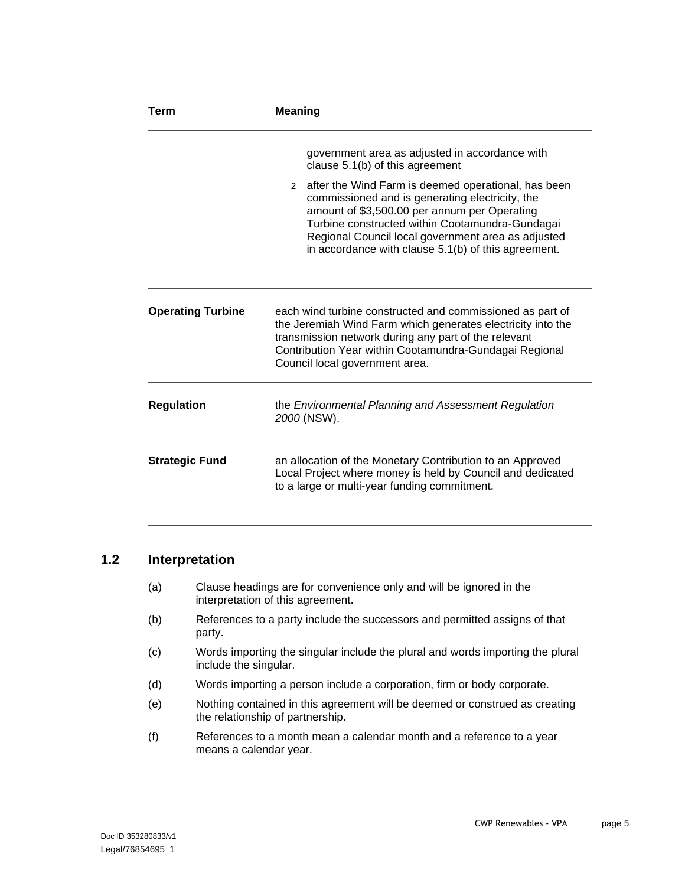| Term                     | <b>Meaning</b>                                                                                                                                                                                                                                                                                                           |  |
|--------------------------|--------------------------------------------------------------------------------------------------------------------------------------------------------------------------------------------------------------------------------------------------------------------------------------------------------------------------|--|
|                          | government area as adjusted in accordance with<br>clause 5.1(b) of this agreement                                                                                                                                                                                                                                        |  |
|                          | 2 after the Wind Farm is deemed operational, has been<br>commissioned and is generating electricity, the<br>amount of \$3,500.00 per annum per Operating<br>Turbine constructed within Cootamundra-Gundagai<br>Regional Council local government area as adjusted<br>in accordance with clause 5.1(b) of this agreement. |  |
| <b>Operating Turbine</b> | each wind turbine constructed and commissioned as part of<br>the Jeremiah Wind Farm which generates electricity into the<br>transmission network during any part of the relevant<br>Contribution Year within Cootamundra-Gundagai Regional<br>Council local government area.                                             |  |
| <b>Regulation</b>        | the Environmental Planning and Assessment Regulation<br>2000 (NSW).                                                                                                                                                                                                                                                      |  |
| <b>Strategic Fund</b>    | an allocation of the Monetary Contribution to an Approved<br>Local Project where money is held by Council and dedicated<br>to a large or multi-year funding commitment.                                                                                                                                                  |  |

#### **1.2 Interpretation**

- (a) Clause headings are for convenience only and will be ignored in the interpretation of this agreement.
- (b) References to a party include the successors and permitted assigns of that party.
- (c) Words importing the singular include the plural and words importing the plural include the singular.
- (d) Words importing a person include a corporation, firm or body corporate.
- (e) Nothing contained in this agreement will be deemed or construed as creating the relationship of partnership.
- (f) References to a month mean a calendar month and a reference to a year means a calendar year.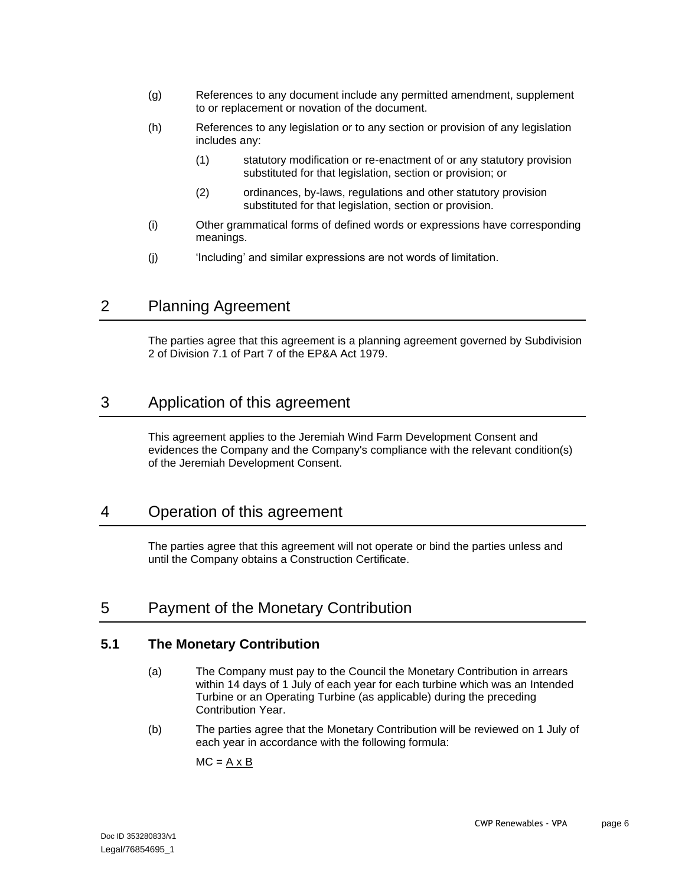- <span id="page-8-1"></span>(g) References to any document include any permitted amendment, supplement to or replacement or novation of the document.
- (h) References to any legislation or to any section or provision of any legislation includes any:
	- (1) statutory modification or re-enactment of or any statutory provision substituted for that legislation, section or provision; or
	- (2) ordinances, by-laws, regulations and other statutory provision substituted for that legislation, section or provision.
- (i) Other grammatical forms of defined words or expressions have corresponding meanings.
- (i) 'Including' and similar expressions are not words of limitation.

## 2 Planning Agreement

The parties agree that this agreement is a planning agreement governed by Subdivision 2 of Division 7.1 of Part 7 of the EP&A Act 1979.

## 3 Application of this agreement

This agreement applies to the Jeremiah Wind Farm Development Consent and evidences the Company and the Company's compliance with the relevant condition(s) of the Jeremiah Development Consent.

## 4 Operation of this agreement

The parties agree that this agreement will not operate or bind the parties unless and until the Company obtains a Construction Certificate.

## <span id="page-8-2"></span>5 Payment of the Monetary Contribution

#### **5.1 The Monetary Contribution**

- (a) The Company must pay to the Council the Monetary Contribution in arrears within 14 days of 1 July of each year for each turbine which was an Intended Turbine or an Operating Turbine (as applicable) during the preceding Contribution Year.
- <span id="page-8-0"></span>(b) The parties agree that the Monetary Contribution will be reviewed on 1 July of each year in accordance with the following formula:

 $MC = A \times B$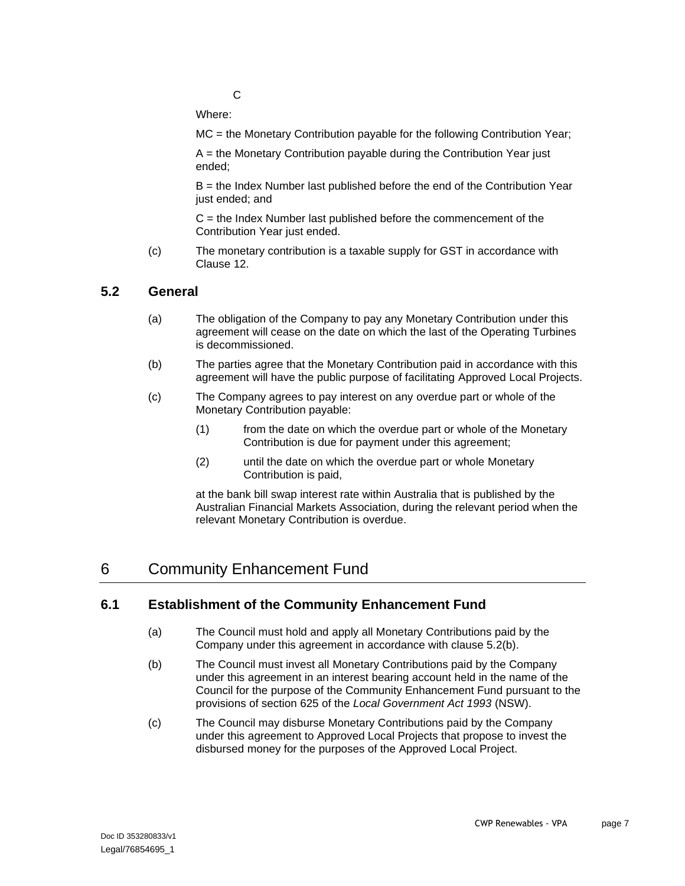$\mathcal{C}$ 

Where:

MC = the Monetary Contribution payable for the following Contribution Year;

A = the Monetary Contribution payable during the Contribution Year just ended;

B = the Index Number last published before the end of the Contribution Year just ended; and

 $C =$  the Index Number last published before the commencement of the Contribution Year just ended.

(c) The monetary contribution is a taxable supply for GST in accordance with Clause [12.](#page-15-0)

#### **5.2 General**

- (a) The obligation of the Company to pay any Monetary Contribution under this agreement will cease on the date on which the last of the Operating Turbines is decommissioned.
- <span id="page-9-0"></span>(b) The parties agree that the Monetary Contribution paid in accordance with this agreement will have the public purpose of facilitating Approved Local Projects.
- (c) The Company agrees to pay interest on any overdue part or whole of the Monetary Contribution payable:
	- (1) from the date on which the overdue part or whole of the Monetary Contribution is due for payment under this agreement;
	- (2) until the date on which the overdue part or whole Monetary Contribution is paid,

at the bank bill swap interest rate within Australia that is published by the Australian Financial Markets Association, during the relevant period when the relevant Monetary Contribution is overdue.

## 6 Community Enhancement Fund

#### **6.1 Establishment of the Community Enhancement Fund**

- (a) The Council must hold and apply all Monetary Contributions paid by the Company under this agreement in accordance with clause [5.2\(b\).](#page-9-0)
- (b) The Council must invest all Monetary Contributions paid by the Company under this agreement in an interest bearing account held in the name of the Council for the purpose of the Community Enhancement Fund pursuant to the provisions of section 625 of the *Local Government Act 1993* (NSW).
- (c) The Council may disburse Monetary Contributions paid by the Company under this agreement to Approved Local Projects that propose to invest the disbursed money for the purposes of the Approved Local Project.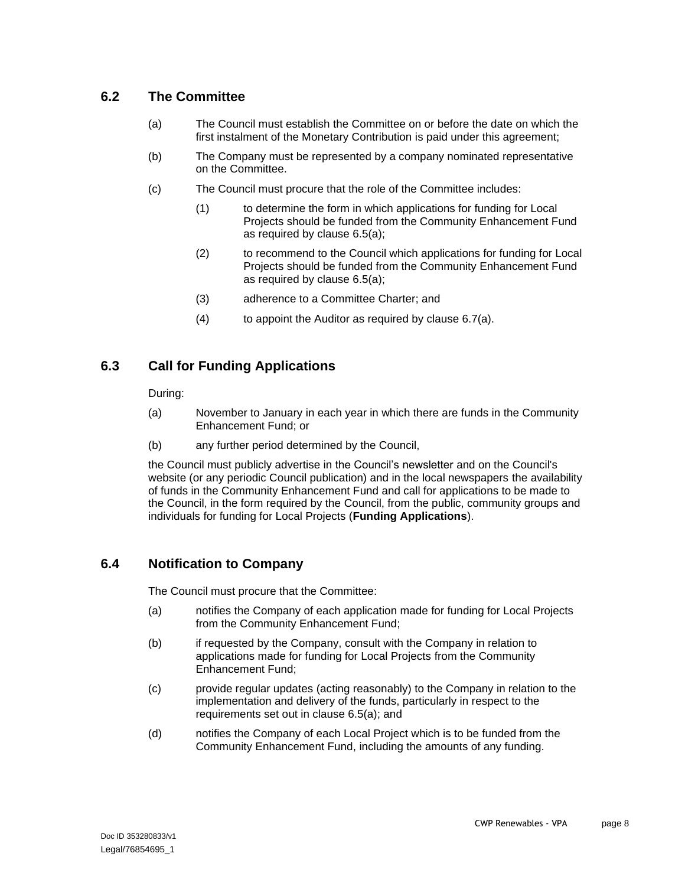#### **6.2 The Committee**

- (a) The Council must establish the Committee on or before the date on which the first instalment of the Monetary Contribution is paid under this agreement;
- (b) The Company must be represented by a company nominated representative on the Committee.
- (c) The Council must procure that the role of the Committee includes:
	- (1) to determine the form in which applications for funding for Local Projects should be funded from the Community Enhancement Fund as required by clause 6.5(a);
	- (2) to recommend to the Council which applications for funding for Local Projects should be funded from the Community Enhancement Fund as required by clause 6.5(a);
	- (3) adherence to a Committee Charter; and
	- (4) to appoint the Auditor as required by clause 6.7(a).

#### **6.3 Call for Funding Applications**

During:

- (a) November to January in each year in which there are funds in the Community Enhancement Fund; or
- (b) any further period determined by the Council,

the Council must publicly advertise in the Council's newsletter and on the Council's website (or any periodic Council publication) and in the local newspapers the availability of funds in the Community Enhancement Fund and call for applications to be made to the Council, in the form required by the Council, from the public, community groups and individuals for funding for Local Projects (**Funding Applications**).

#### **6.4 Notification to Company**

The Council must procure that the Committee:

- (a) notifies the Company of each application made for funding for Local Projects from the Community Enhancement Fund;
- (b) if requested by the Company, consult with the Company in relation to applications made for funding for Local Projects from the Community Enhancement Fund;
- (c) provide regular updates (acting reasonably) to the Company in relation to the implementation and delivery of the funds, particularly in respect to the requirements set out in clause [6.5\(a\);](#page-11-0) and
- (d) notifies the Company of each Local Project which is to be funded from the Community Enhancement Fund, including the amounts of any funding.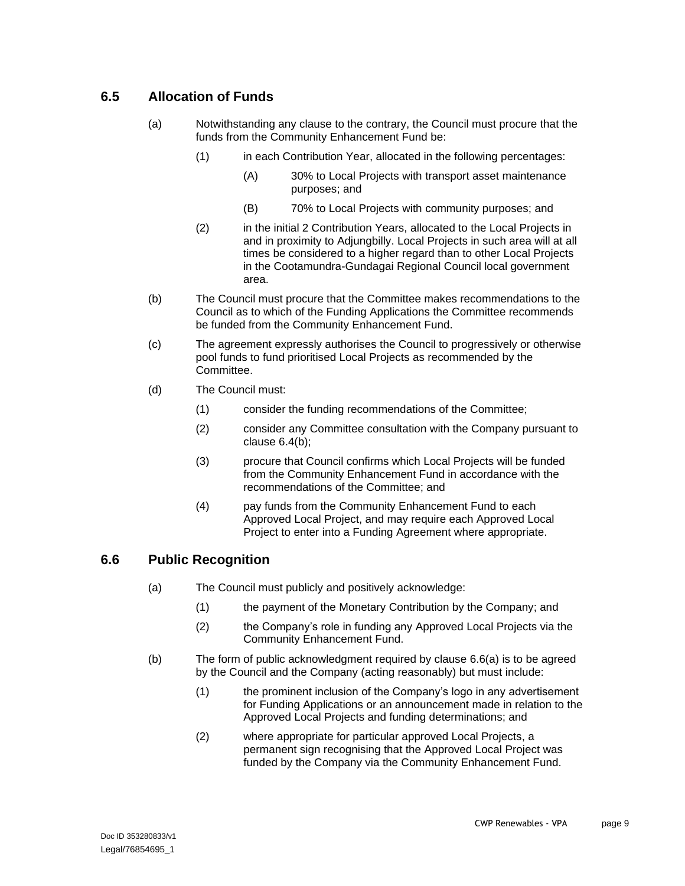### <span id="page-11-3"></span><span id="page-11-1"></span><span id="page-11-0"></span>**6.5 Allocation of Funds**

- (a) Notwithstanding any clause to the contrary, the Council must procure that the funds from the Community Enhancement Fund be:
	- (1) in each Contribution Year, allocated in the following percentages:
		- (A) 30% to Local Projects with transport asset maintenance purposes; and
		- (B) 70% to Local Projects with community purposes; and
	- (2) in the initial 2 Contribution Years, allocated to the Local Projects in and in proximity to Adjungbilly. Local Projects in such area will at all times be considered to a higher regard than to other Local Projects in the Cootamundra-Gundagai Regional Council local government area.
- (b) The Council must procure that the Committee makes recommendations to the Council as to which of the Funding Applications the Committee recommends be funded from the Community Enhancement Fund.
- (c) The agreement expressly authorises the Council to progressively or otherwise pool funds to fund prioritised Local Projects as recommended by the Committee.
- (d) The Council must:
	- (1) consider the funding recommendations of the Committee;
	- (2) consider any Committee consultation with the Company pursuant to clause 6.4(b);
	- (3) procure that Council confirms which Local Projects will be funded from the Community Enhancement Fund in accordance with the recommendations of the Committee; and
	- (4) pay funds from the Community Enhancement Fund to each Approved Local Project, and may require each Approved Local Project to enter into a Funding Agreement where appropriate.

#### <span id="page-11-2"></span>**6.6 Public Recognition**

- (a) The Council must publicly and positively acknowledge:
	- (1) the payment of the Monetary Contribution by the Company; and
	- (2) the Company's role in funding any Approved Local Projects via the Community Enhancement Fund.
- (b) The form of public acknowledgment required by clause [6.6\(a\)](#page-11-2) is to be agreed by the Council and the Company (acting reasonably) but must include:
	- (1) the prominent inclusion of the Company's logo in any advertisement for Funding Applications or an announcement made in relation to the Approved Local Projects and funding determinations; and
	- (2) where appropriate for particular approved Local Projects, a permanent sign recognising that the Approved Local Project was funded by the Company via the Community Enhancement Fund.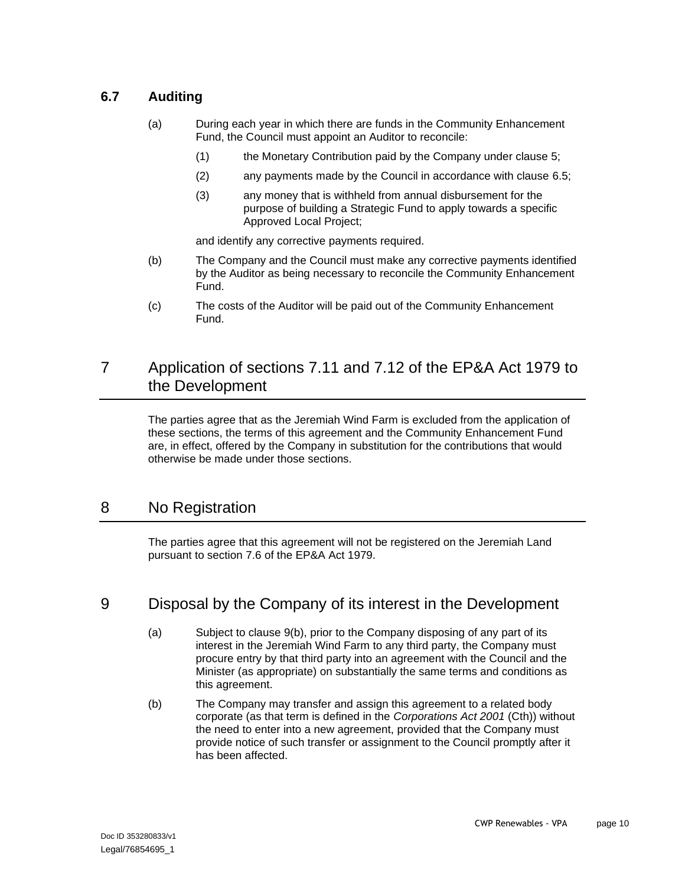### <span id="page-12-2"></span>**6.7 Auditing**

- (a) During each year in which there are funds in the Community Enhancement Fund, the Council must appoint an Auditor to reconcile:
	- (1) the Monetary Contribution paid by the Company under clause [5;](#page-8-2)
	- (2) any payments made by the Council in accordance with clause [6.5;](#page-11-3)
	- (3) any money that is withheld from annual disbursement for the purpose of building a Strategic Fund to apply towards a specific Approved Local Project;

and identify any corrective payments required.

- (b) The Company and the Council must make any corrective payments identified by the Auditor as being necessary to reconcile the Community Enhancement Fund.
- (c) The costs of the Auditor will be paid out of the Community Enhancement Fund.

## 7 Application of sections 7.11 and 7.12 of the EP&A Act 1979 to the Development

The parties agree that as the Jeremiah Wind Farm is excluded from the application of these sections, the terms of this agreement and the Community Enhancement Fund are, in effect, offered by the Company in substitution for the contributions that would otherwise be made under those sections.

## 8 No Registration

The parties agree that this agreement will not be registered on the Jeremiah Land pursuant to section 7.6 of the EP&A Act 1979.

## <span id="page-12-1"></span>9 Disposal by the Company of its interest in the Development

- (a) Subject to clause [9\(b\),](#page-12-0) prior to the Company disposing of any part of its interest in the Jeremiah Wind Farm to any third party, the Company must procure entry by that third party into an agreement with the Council and the Minister (as appropriate) on substantially the same terms and conditions as this agreement.
- <span id="page-12-0"></span>(b) The Company may transfer and assign this agreement to a related body corporate (as that term is defined in the *Corporations Act 2001* (Cth)) without the need to enter into a new agreement, provided that the Company must provide notice of such transfer or assignment to the Council promptly after it has been affected.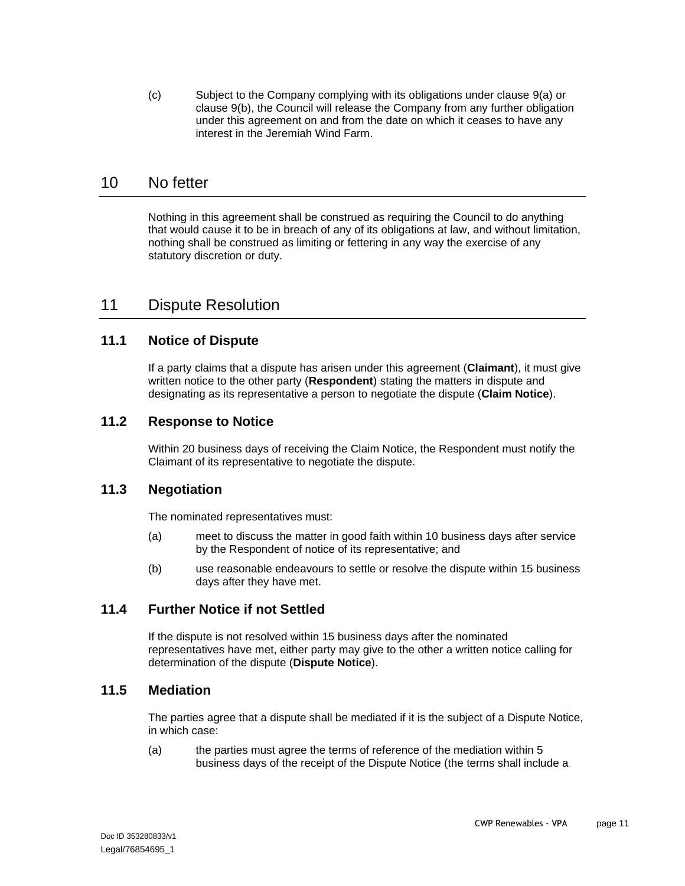<span id="page-13-1"></span>(c) Subject to the Company complying with its obligations under clause [9\(a\)](#page-12-1) or clause [9\(b\),](#page-12-0) the Council will release the Company from any further obligation under this agreement on and from the date on which it ceases to have any interest in the Jeremiah Wind Farm.

### 10 No fetter

Nothing in this agreement shall be construed as requiring the Council to do anything that would cause it to be in breach of any of its obligations at law, and without limitation, nothing shall be construed as limiting or fettering in any way the exercise of any statutory discretion or duty.

## <span id="page-13-2"></span>11 Dispute Resolution

#### **11.1 Notice of Dispute**

If a party claims that a dispute has arisen under this agreement (**Claimant**), it must give written notice to the other party (**Respondent**) stating the matters in dispute and designating as its representative a person to negotiate the dispute (**Claim Notice**).

#### **11.2 Response to Notice**

Within 20 business days of receiving the Claim Notice, the Respondent must notify the Claimant of its representative to negotiate the dispute.

#### **11.3 Negotiation**

The nominated representatives must:

- (a) meet to discuss the matter in good faith within 10 business days after service by the Respondent of notice of its representative; and
- (b) use reasonable endeavours to settle or resolve the dispute within 15 business days after they have met.

#### **11.4 Further Notice if not Settled**

If the dispute is not resolved within 15 business days after the nominated representatives have met, either party may give to the other a written notice calling for determination of the dispute (**Dispute Notice**).

#### <span id="page-13-0"></span>**11.5 Mediation**

The parties agree that a dispute shall be mediated if it is the subject of a Dispute Notice, in which case:

(a) the parties must agree the terms of reference of the mediation within 5 business days of the receipt of the Dispute Notice (the terms shall include a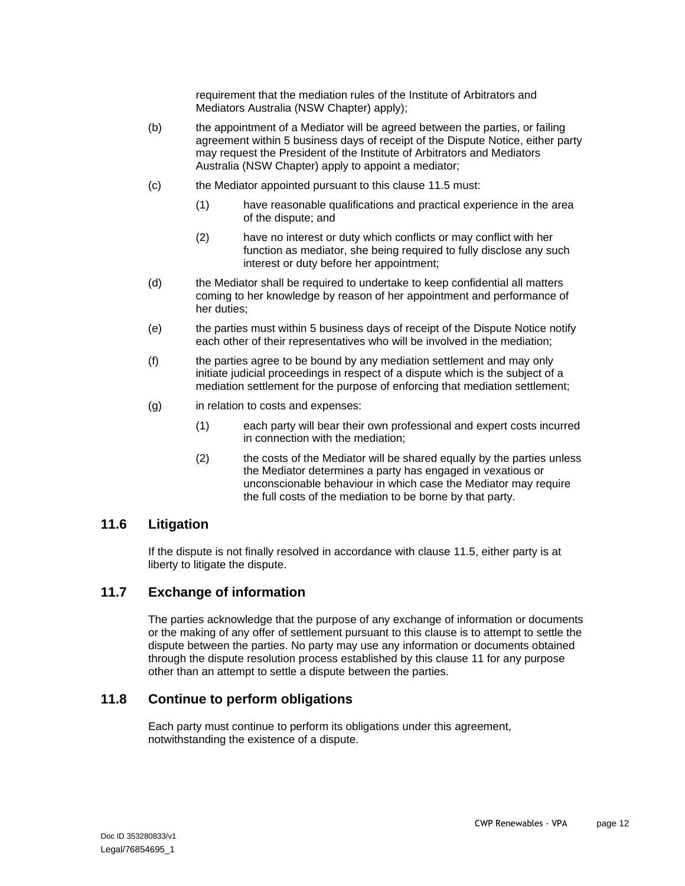requirement that the mediation rules of the Institute of Arbitrators and Mediators Australia (NSW Chapter) apply);

- (b) the appointment of a Mediator will be agreed between the parties, or failing agreement within 5 business days of receipt of the Dispute Notice, either party may request the President of the Institute of Arbitrators and Mediators Australia (NSW Chapter) apply to appoint a mediator;
- (c) the Mediator appointed pursuant to this clause [11.5](#page-13-0) must:
	- (1) have reasonable qualifications and practical experience in the area of the dispute; and
	- (2) have no interest or duty which conflicts or may conflict with her function as mediator, she being required to fully disclose any such interest or duty before her appointment;
- (d) the Mediator shall be required to undertake to keep confidential all matters coming to her knowledge by reason of her appointment and performance of her duties;
- (e) the parties must within 5 business days of receipt of the Dispute Notice notify each other of their representatives who will be involved in the mediation;
- (f) the parties agree to be bound by any mediation settlement and may only initiate judicial proceedings in respect of a dispute which is the subject of a mediation settlement for the purpose of enforcing that mediation settlement;
- (g) in relation to costs and expenses:
	- (1) each party will bear their own professional and expert costs incurred in connection with the mediation;
	- (2) the costs of the Mediator will be shared equally by the parties unless the Mediator determines a party has engaged in vexatious or unconscionable behaviour in which case the Mediator may require the full costs of the mediation to be borne by that party.

#### **11.6 Litigation**

If the dispute is not finally resolved in accordance with clause [11.5,](#page-13-0) either party is at liberty to litigate the dispute.

#### **11.7 Exchange of information**

The parties acknowledge that the purpose of any exchange of information or documents or the making of any offer of settlement pursuant to this clause is to attempt to settle the dispute between the parties. No party may use any information or documents obtained through the dispute resolution process established by this clause [11](#page-13-2) for any purpose other than an attempt to settle a dispute between the parties.

#### **11.8 Continue to perform obligations**

Each party must continue to perform its obligations under this agreement, notwithstanding the existence of a dispute.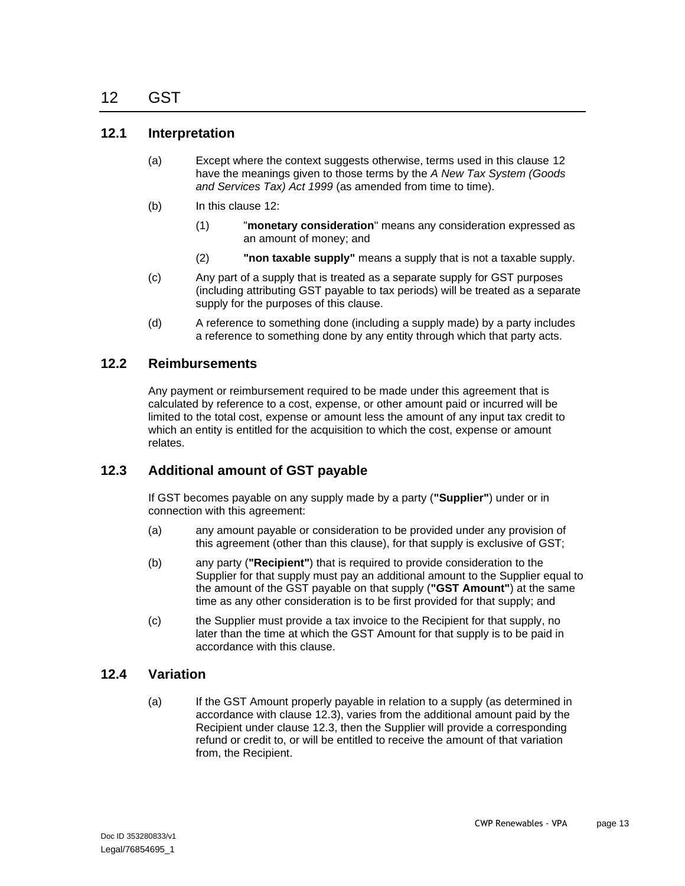#### <span id="page-15-1"></span><span id="page-15-0"></span>**12.1 Interpretation**

- (a) Except where the context suggests otherwise, terms used in this clause [12](#page-15-0) have the meanings given to those terms by the *A New Tax System (Goods and Services Tax) Act 1999* (as amended from time to time).
- (b) In this clause [12:](#page-15-0)
	- (1) "**monetary consideration**" means any consideration expressed as an amount of money; and
	- (2) **"non taxable supply"** means a supply that is not a taxable supply.
- (c) Any part of a supply that is treated as a separate supply for GST purposes (including attributing GST payable to tax periods) will be treated as a separate supply for the purposes of this clause.
- (d) A reference to something done (including a supply made) by a party includes a reference to something done by any entity through which that party acts.

#### **12.2 Reimbursements**

Any payment or reimbursement required to be made under this agreement that is calculated by reference to a cost, expense, or other amount paid or incurred will be limited to the total cost, expense or amount less the amount of any input tax credit to which an entity is entitled for the acquisition to which the cost, expense or amount relates.

#### <span id="page-15-2"></span>**12.3 Additional amount of GST payable**

If GST becomes payable on any supply made by a party (**"Supplier"**) under or in connection with this agreement:

- (a) any amount payable or consideration to be provided under any provision of this agreement (other than this clause), for that supply is exclusive of GST;
- (b) any party (**"Recipient"**) that is required to provide consideration to the Supplier for that supply must pay an additional amount to the Supplier equal to the amount of the GST payable on that supply (**"GST Amount"**) at the same time as any other consideration is to be first provided for that supply; and
- (c) the Supplier must provide a tax invoice to the Recipient for that supply, no later than the time at which the GST Amount for that supply is to be paid in accordance with this clause.

#### **12.4 Variation**

(a) If the GST Amount properly payable in relation to a supply (as determined in accordance with clause [12.3\)](#page-15-2), varies from the additional amount paid by the Recipient under clause [12.3,](#page-15-2) then the Supplier will provide a corresponding refund or credit to, or will be entitled to receive the amount of that variation from, the Recipient.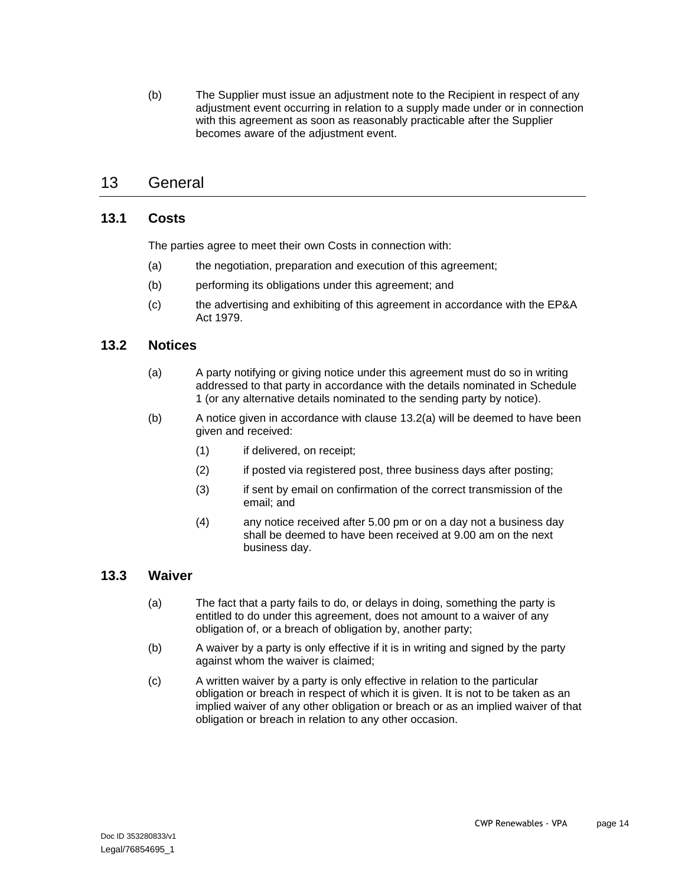(b) The Supplier must issue an adjustment note to the Recipient in respect of any adjustment event occurring in relation to a supply made under or in connection with this agreement as soon as reasonably practicable after the Supplier becomes aware of the adjustment event.

## 13 General

#### **13.1 Costs**

The parties agree to meet their own Costs in connection with:

- (a) the negotiation, preparation and execution of this agreement;
- (b) performing its obligations under this agreement; and
- (c) the advertising and exhibiting of this agreement in accordance with the EP&A Act 1979.

#### <span id="page-16-0"></span>**13.2 Notices**

- (a) A party notifying or giving notice under this agreement must do so in writing addressed to that party in accordance with the details nominated in Schedule 1 (or any alternative details nominated to the sending party by notice).
- (b) A notice given in accordance with clause [13.2\(a\)](#page-16-0) will be deemed to have been given and received:
	- (1) if delivered, on receipt;
	- (2) if posted via registered post, three business days after posting;
	- (3) if sent by email on confirmation of the correct transmission of the email; and
	- (4) any notice received after 5.00 pm or on a day not a business day shall be deemed to have been received at 9.00 am on the next business day.

#### **13.3 Waiver**

- (a) The fact that a party fails to do, or delays in doing, something the party is entitled to do under this agreement, does not amount to a waiver of any obligation of, or a breach of obligation by, another party;
- (b) A waiver by a party is only effective if it is in writing and signed by the party against whom the waiver is claimed;
- (c) A written waiver by a party is only effective in relation to the particular obligation or breach in respect of which it is given. It is not to be taken as an implied waiver of any other obligation or breach or as an implied waiver of that obligation or breach in relation to any other occasion.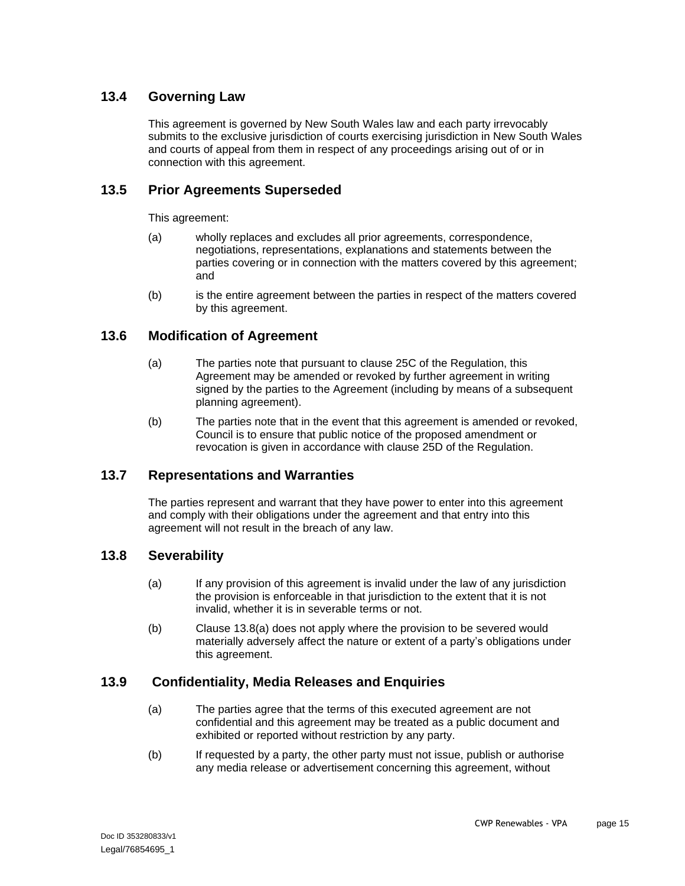#### **13.4 Governing Law**

This agreement is governed by New South Wales law and each party irrevocably submits to the exclusive jurisdiction of courts exercising jurisdiction in New South Wales and courts of appeal from them in respect of any proceedings arising out of or in connection with this agreement.

#### **13.5 Prior Agreements Superseded**

This agreement:

- (a) wholly replaces and excludes all prior agreements, correspondence, negotiations, representations, explanations and statements between the parties covering or in connection with the matters covered by this agreement; and
- (b) is the entire agreement between the parties in respect of the matters covered by this agreement.

#### **13.6 Modification of Agreement**

- (a) The parties note that pursuant to clause 25C of the Regulation, this Agreement may be amended or revoked by further agreement in writing signed by the parties to the Agreement (including by means of a subsequent planning agreement).
- (b) The parties note that in the event that this agreement is amended or revoked, Council is to ensure that public notice of the proposed amendment or revocation is given in accordance with clause 25D of the Regulation.

#### **13.7 Representations and Warranties**

The parties represent and warrant that they have power to enter into this agreement and comply with their obligations under the agreement and that entry into this agreement will not result in the breach of any law.

#### <span id="page-17-0"></span>**13.8 Severability**

- (a) If any provision of this agreement is invalid under the law of any jurisdiction the provision is enforceable in that jurisdiction to the extent that it is not invalid, whether it is in severable terms or not.
- (b) Clause [13.8\(a\)](#page-17-0) does not apply where the provision to be severed would materially adversely affect the nature or extent of a party's obligations under this agreement.

#### **13.9 Confidentiality, Media Releases and Enquiries**

- (a) The parties agree that the terms of this executed agreement are not confidential and this agreement may be treated as a public document and exhibited or reported without restriction by any party.
- (b) If requested by a party, the other party must not issue, publish or authorise any media release or advertisement concerning this agreement, without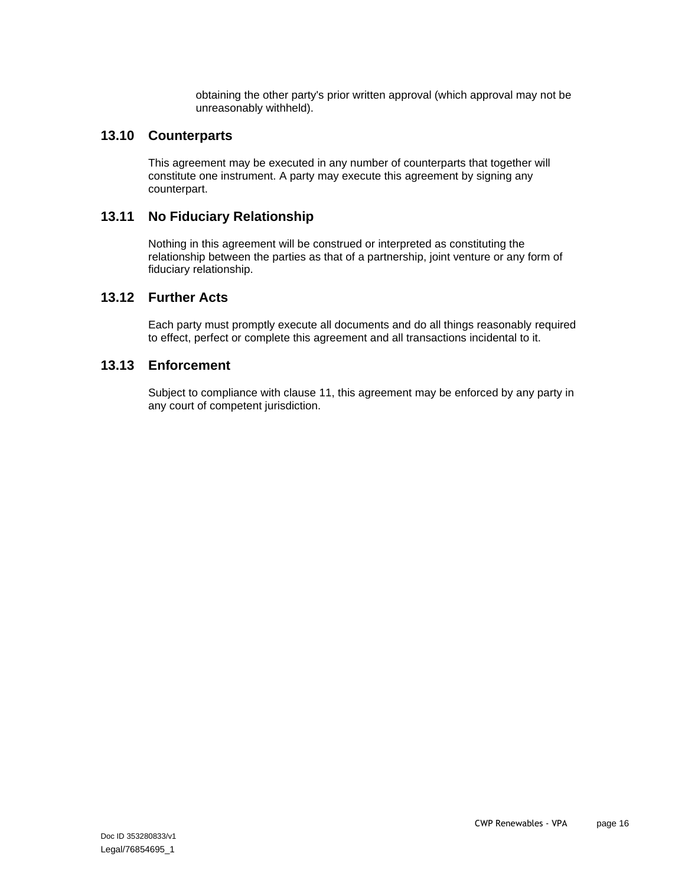obtaining the other party's prior written approval (which approval may not be unreasonably withheld).

#### **13.10 Counterparts**

This agreement may be executed in any number of counterparts that together will constitute one instrument. A party may execute this agreement by signing any counterpart.

#### **13.11 No Fiduciary Relationship**

Nothing in this agreement will be construed or interpreted as constituting the relationship between the parties as that of a partnership, joint venture or any form of fiduciary relationship.

#### **13.12 Further Acts**

Each party must promptly execute all documents and do all things reasonably required to effect, perfect or complete this agreement and all transactions incidental to it.

#### **13.13 Enforcement**

Subject to compliance with clause [11,](#page-13-2) this agreement may be enforced by any party in any court of competent jurisdiction.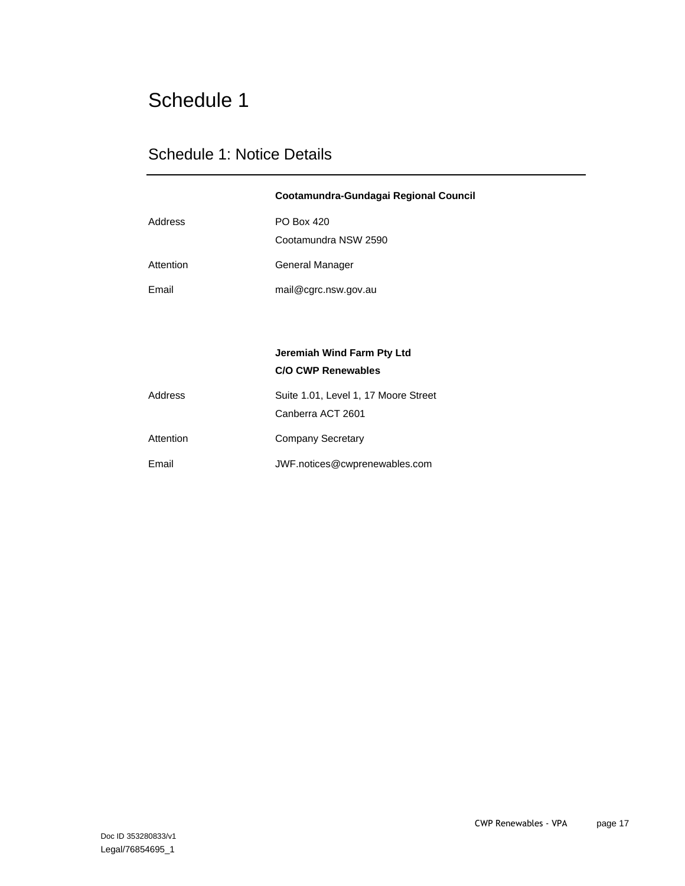## Schedule 1

## Schedule 1: Notice Details

|           | Cootamundra-Gundagai Regional Council                     |
|-----------|-----------------------------------------------------------|
| Address   | <b>PO Box 420</b><br>Cootamundra NSW 2590                 |
| Attention | General Manager                                           |
| Email     | mail@cgrc.nsw.gov.au                                      |
|           |                                                           |
|           | Jeremiah Wind Farm Pty Ltd<br><b>C/O CWP Renewables</b>   |
| Address   | Suite 1.01, Level 1, 17 Moore Street<br>Canberra ACT 2601 |
| Attention | <b>Company Secretary</b>                                  |
| Email     | JWF.notices@cwprenewables.com                             |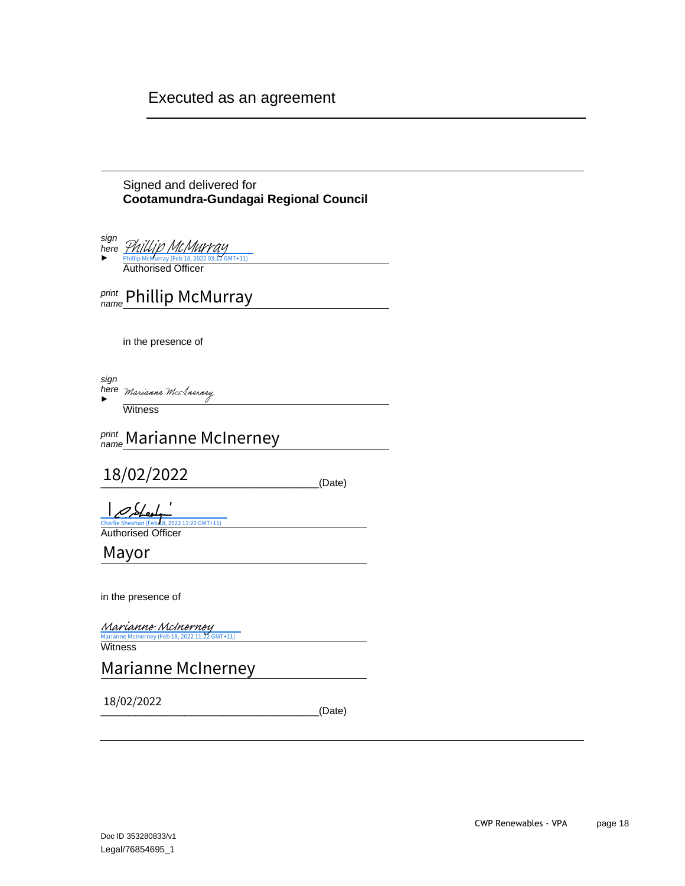## Executed as an agreement

Signed and delivered for **Cootamundra-Gundagai Regional Council**

| sign<br>here<br>Phillip McMurray (Feb 18, 2022 03<br>$7$ GMT+11)         |        |
|--------------------------------------------------------------------------|--------|
| <b>Authorised Officer</b>                                                |        |
| <i>print</i> Phillip McMurray                                            |        |
| in the presence of                                                       |        |
| sign<br>here Marianne McAnerney                                          |        |
| Witness                                                                  |        |
| print Marianne McInerney<br>name                                         |        |
| 18/02/2022                                                               | (Date) |
| Charlie Sheahan (Feb 18, 2022 11:20 GMT+11)<br><b>Authorised Officer</b> |        |
| Mayor                                                                    |        |

in the presence of

[Marianne McInerney](https://au1.documents.adobe.com/verifier?tx=CBJCHBCAABAA2J2BcSH_y2nghxfbjPS2UtmJyEZKuxBy)<br><sup>Marianne McInerney (Feb 18, 2022 11:22 GMT+11)</sup>

Marianne McIr

Marianne McInerney

18/02/2022

 $_$ \\_(Date)